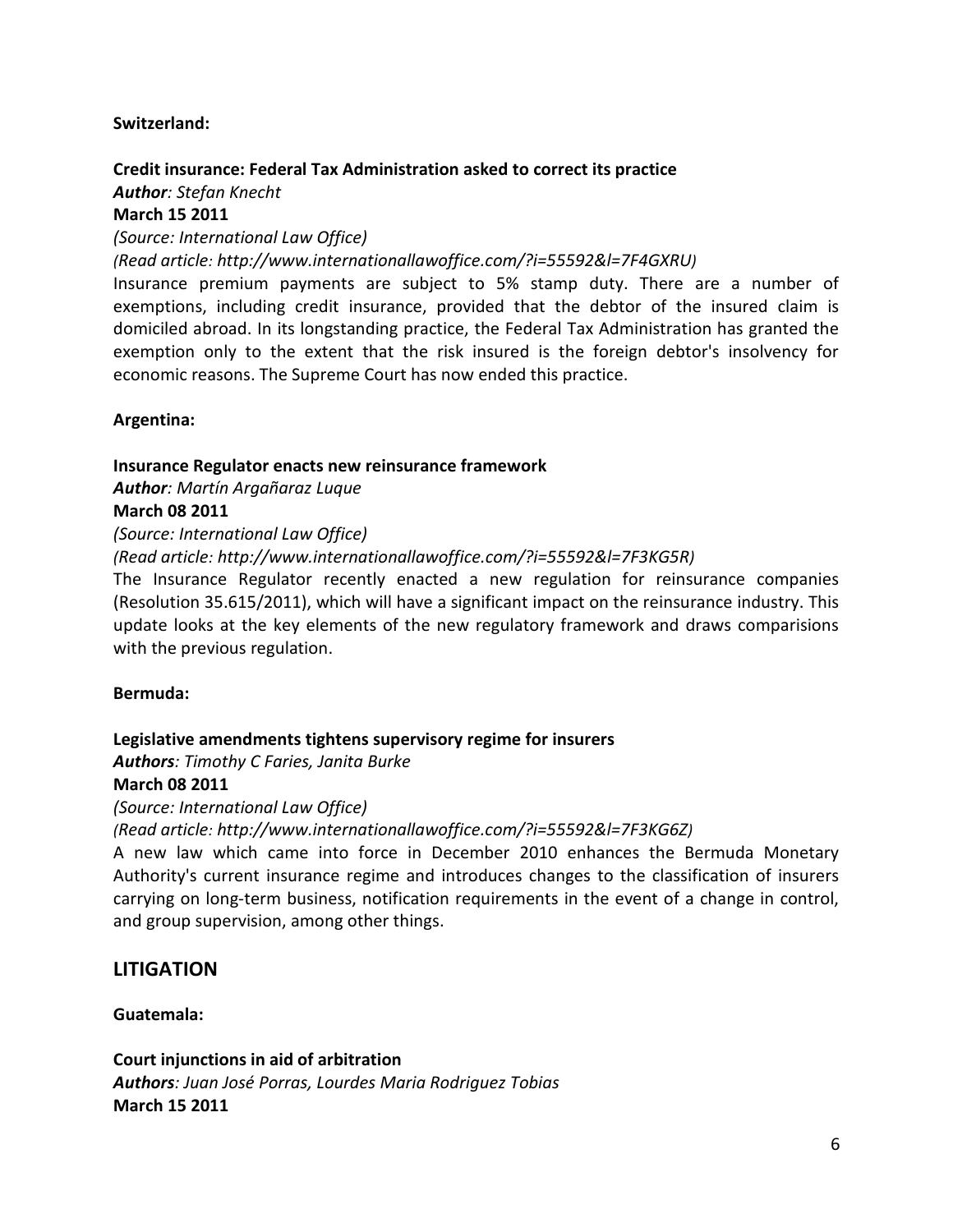### **LITIGATION**

#### **Guatemala:**

### **[Court injunctions in aid of arbitration](http://www.internationallawoffice.com/?i=55592&l=7F4GXWH)** *Authors: [Juan José Porras,](http://www.internationallawoffice.com/?i=55592&l=7F4GXWL) [Lourdes Maria Rodriguez Tobias](http://www.internationallawoffice.com/?i=55592&l=7F4GXWP)* **March 15 2011**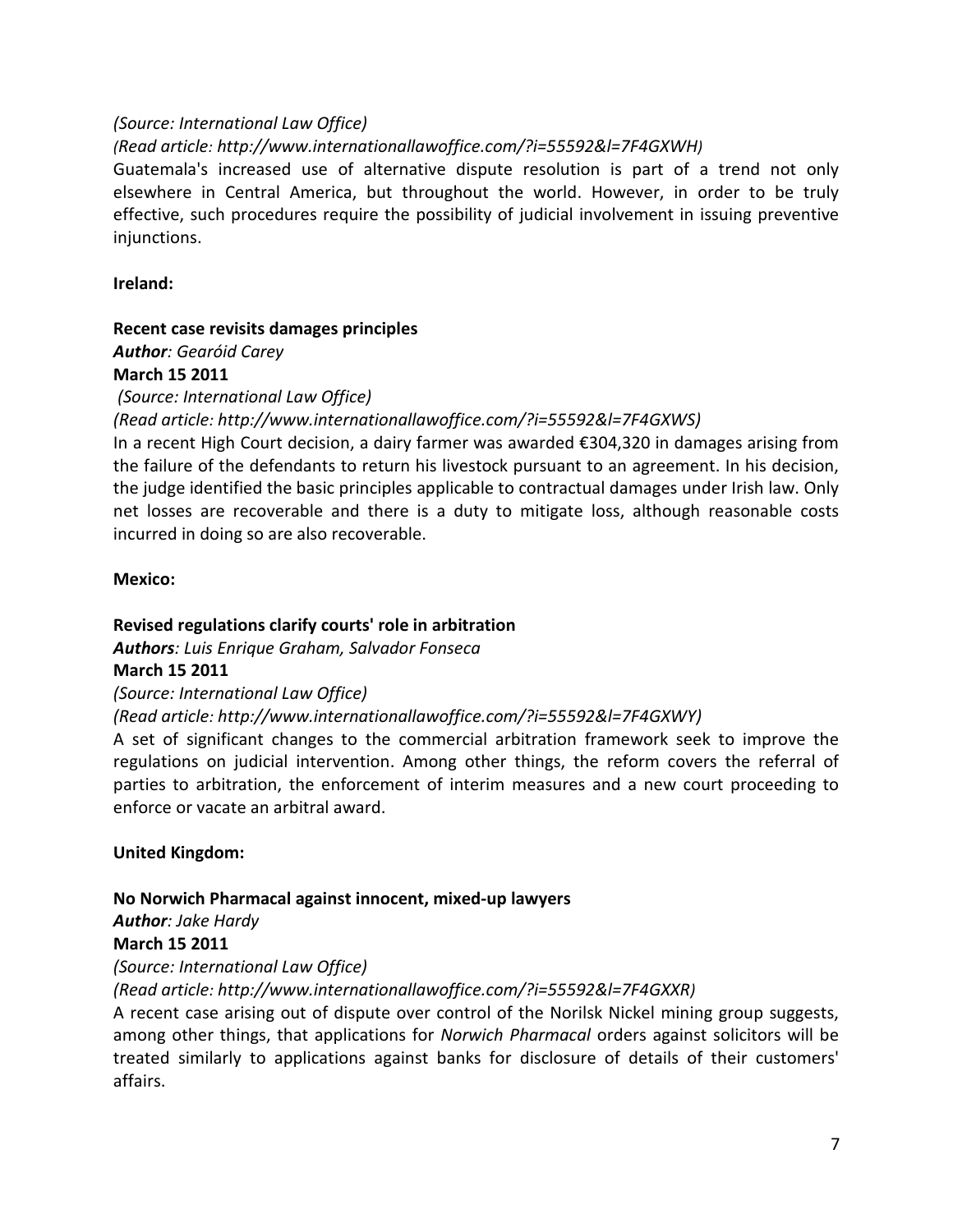### *(Source: International Law Office)*

*[\(Read article:](http://www.internationallawoffice.com/?i=55592&l=7F4GXWH) [http://www.internationallawoffice.com/?i=55592&l=7F4GXWH\)](http://www.internationallawoffice.com/?i=55592&l=7F4GXWH)*

Guatemala's increased use of alternative dispute resolution is part of a trend not only elsewhere in Central America, but throughout the world. However, in order to be truly effective, such procedures require the possibility of judicial involvement in issuing preventive injunctions.

### **Ireland:**

# **[Recent case revisits damages principles](http://www.internationallawoffice.com/?i=55592&l=7F4GXWS)**

*Author: [Gearóid Carey](http://www.internationallawoffice.com/?i=55592&l=7F4GXWV)* **March 15 2011**

# *(Source: International Law Office)*

*[\(Read article:](http://www.internationallawoffice.com/?i=55592&l=7F4GXWS) [http://www.internationallawoffice.com/?i=55592&l=7F4GXWS\)](http://www.internationallawoffice.com/?i=55592&l=7F4GXWS)*

In a recent High Court decision, a dairy farmer was awarded €304,320 in damages arising from the failure of the defendants to return his livestock pursuant to an agreement. In his decision, the judge identified the basic principles applicable to contractual damages under Irish law. Only net losses are recoverable and there is a duty to mitigate loss, although reasonable costs incurred in doing so are also recoverable.

### **Mexico:**

# **[Revised regulations clarify courts' role in arbitration](http://www.internationallawoffice.com/?i=55592&l=7F4GXWY)**

*Authors: [Luis Enrique Graham,](http://www.internationallawoffice.com/?i=55592&l=7F4GXX7) [Salvador Fonseca](http://www.internationallawoffice.com/?i=55592&l=7F4GXXG)*

# **March 15 2011**

*(Source: International Law Office)* 

# *[\(Read article:](http://www.internationallawoffice.com/?i=55592&l=7F4GXWY) [http://www.internationallawoffice.com/?i=55592&l=7F4GXWY\)](http://www.internationallawoffice.com/?i=55592&l=7F4GXWY)*

A set of significant changes to the commercial arbitration framework seek to improve the regulations on judicial intervention. Among other things, the reform covers the referral of parties to arbitration, the enforcement of interim measures and a new court proceeding to enforce or vacate an arbitral award.

# **United Kingdom:**

# **No Norwich Pharmacal [against innocent, mixed-up lawyers](http://www.internationallawoffice.com/?i=55592&l=7F4GXXR)**

*Author: [Jake Hardy](http://www.internationallawoffice.com/?i=55592&l=7F4GXY0)*

### **March 15 2011**

*(Source: International Law Office)* 

# *[\(Read article:](http://www.internationallawoffice.com/?i=55592&l=7F4GXXR) [http://www.internationallawoffice.com/?i=55592&l=7F4GXXR\)](http://www.internationallawoffice.com/?i=55592&l=7F4GXXR)*

A recent case arising out of dispute over control of the Norilsk Nickel mining group suggests, among other things, that applications for *Norwich Pharmacal* orders against solicitors will be treated similarly to applications against banks for disclosure of details of their customers' affairs.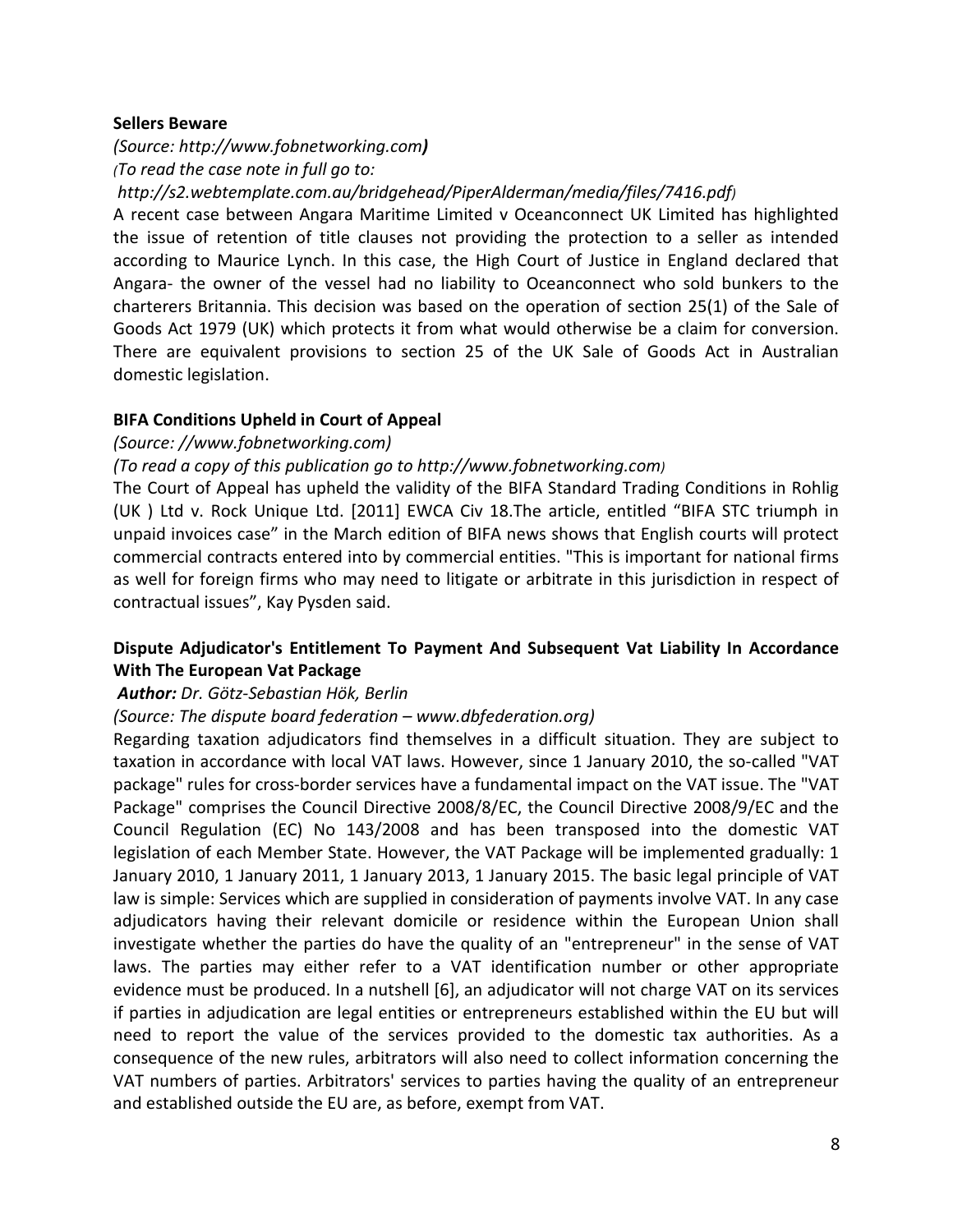### **Sellers Beware**

*(Source: http://www.fobnetworking.com) (To read the case note in full go to:* 

*[http://s2.webtemplate.com.au/bridgehead/PiperAlderman/media/files/7416.pdf\)](http://s2.webtemplate.com.au/bridgehead/PiperAlderman/media/files/7416.pdf)*

A recent case between Angara Maritime Limited v Oceanconnect UK Limited has highlighted the issue of retention of title clauses not providing the protection to a seller as intended according to Maurice Lynch. In this case, the High Court of Justice in England declared that Angara- the owner of the vessel had no liability to Oceanconnect who sold bunkers to the charterers Britannia. This decision was based on the operation of section 25(1) of the Sale of Goods Act 1979 (UK) which protects it from what would otherwise be a claim for conversion. There are equivalent provisions to section 25 of the UK Sale of Goods Act in Australian domestic legislation.

### **BIFA Conditions Upheld in Court of Appeal**

### *(Source: //www.fobnetworking.com)*

### *(To read a copy of this publication go to [http://www.fobnetworking.com\)](http://www.fobnetworking.com/)*

The Court of Appeal has upheld the validity of the BIFA Standard Trading Conditions in Rohlig (UK ) Ltd v. Rock Unique Ltd. [2011] EWCA Civ 18.The article, entitled "BIFA STC triumph in unpaid invoices case" in the March edition of BIFA news shows that English courts will protect commercial contracts entered into by commercial entities. "This is important for national firms as well for foreign firms who may need to litigate or arbitrate in this jurisdiction in respect of contractual issues", Kay Pysden said.

# **Dispute Adjudicator's Entitlement To Payment And Subsequent Vat Liability In Accordance With The European Vat Package**

### *Author: Dr. Götz-Sebastian Hök, Berlin*

### *(Source: The dispute board federation – www.dbfederation.org)*

Regarding taxation adjudicators find themselves in a difficult situation. They are subject to taxation in accordance with local VAT laws. However, since 1 January 2010, the so-called "VAT package" rules for cross-border services have a fundamental impact on the VAT issue. The "VAT Package" comprises the Council Directive 2008/8/EC, the Council Directive 2008/9/EC and the Council Regulation (EC) No 143/2008 and has been transposed into the domestic VAT legislation of each Member State. However, the VAT Package will be implemented gradually: 1 January 2010, 1 January 2011, 1 January 2013, 1 January 2015. The basic legal principle of VAT law is simple: Services which are supplied in consideration of payments involve VAT. In any case adjudicators having their relevant domicile or residence within the European Union shall investigate whether the parties do have the quality of an "entrepreneur" in the sense of VAT laws. The parties may either refer to a VAT identification number or other appropriate evidence must be produced. In a nutshell [6], an adjudicator will not charge VAT on its services if parties in adjudication are legal entities or entrepreneurs established within the EU but will need to report the value of the services provided to the domestic tax authorities. As a consequence of the new rules, arbitrators will also need to collect information concerning the VAT numbers of parties. Arbitrators' services to parties having the quality of an entrepreneur and established outside the EU are, as before, exempt from VAT.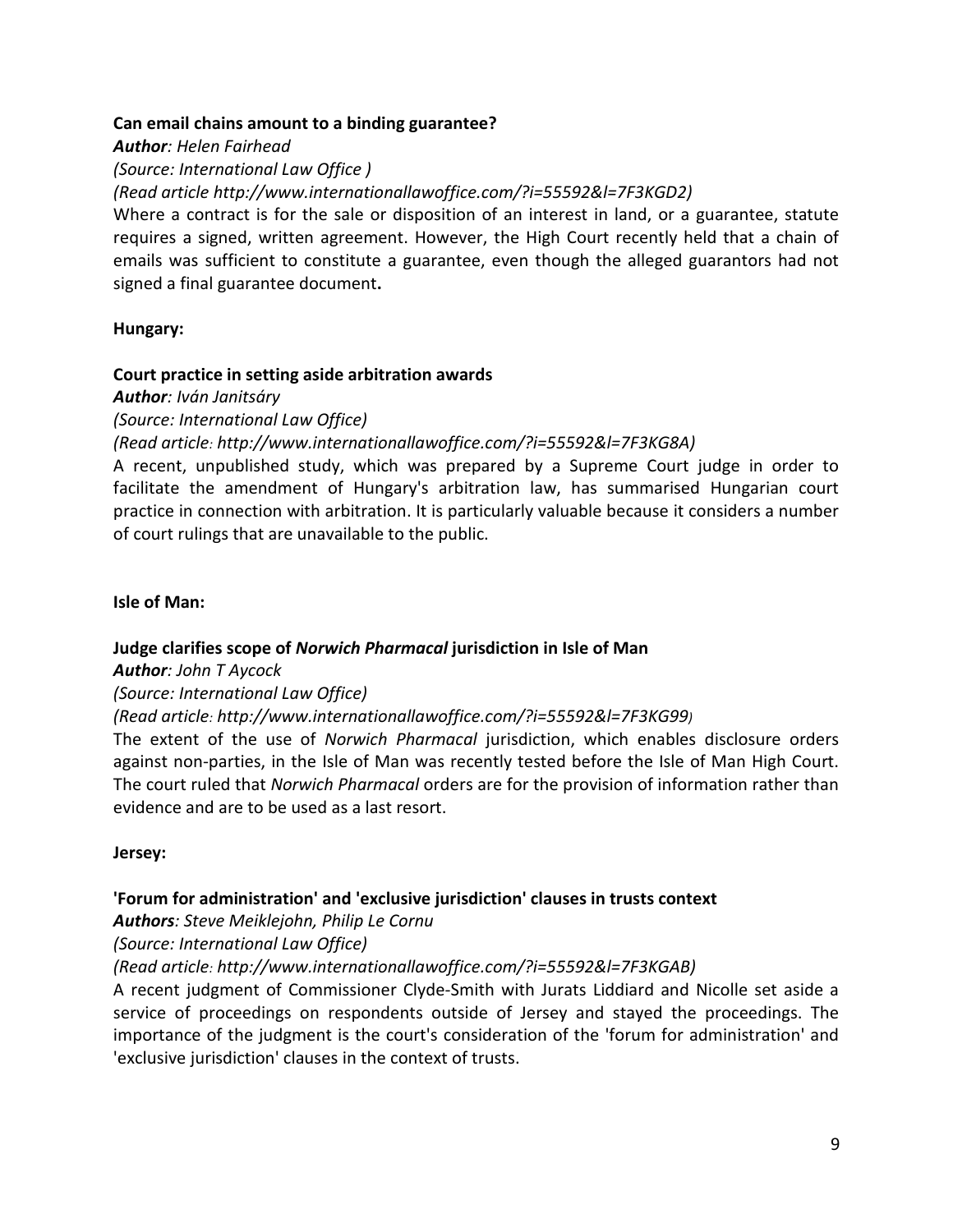### **[Can email chains amount to a binding guarantee?](http://www.internationallawoffice.com/?i=55592&l=7F3KGD2)**

*Author: [Helen Fairhead](http://www.internationallawoffice.com/?i=55592&l=7F3KGDH)*

*(Source: International Law Office )*

*[\(Read article](http://www.internationallawoffice.com/?i=55592&l=7F3KGD2) [http://www.internationallawoffice.com/?i=55592&l=7F3KGD2\)](http://www.internationallawoffice.com/?i=55592&l=7F3KGD2)*

Where a contract is for the sale or disposition of an interest in land, or a guarantee, statute requires a signed, written agreement. However, the High Court recently held that a chain of emails was sufficient to constitute a guarantee, even though the alleged guarantors had not signed a final guarantee document**.**

### **Hungary:**

### **[Court practice in setting aside arbitration awards](http://www.internationallawoffice.com/?i=55592&l=7F3KG8A)**

### *Author: [Iván Janitsáry](http://www.internationallawoffice.com/?i=55592&l=7F3KG8U)*

*(Source: International Law Office)* 

*[\(Read article:](http://www.internationallawoffice.com/?i=55592&l=7F3KG8A) [http://www.internationallawoffice.com/?i=55592&l=7F3KG8A\)](http://www.internationallawoffice.com/?i=55592&l=7F3KG8A)*

A recent, unpublished study, which was prepared by a Supreme Court judge in order to facilitate the amendment of Hungary's arbitration law, has summarised Hungarian court practice in connection with arbitration. It is particularly valuable because it considers a number of court rulings that are unavailable to the public.

### **Isle of Man:**

# **Judge clarifies scope of** *Norwich Pharmacal* **[jurisdiction in Isle of Man](http://www.internationallawoffice.com/?i=55592&l=7F3KG99)**

# *Author: [John T Aycock](http://www.internationallawoffice.com/?i=55592&l=7F3KG9T)*

# *(Source: International Law Office)*

# *[\(Read article:](http://www.internationallawoffice.com/?i=55592&l=7F3KG99) [http://www.internationallawoffice.com/?i=55592&l=7F3KG99\)](http://www.internationallawoffice.com/?i=55592&l=7F3KG99)*

The extent of the use of *Norwich Pharmacal* jurisdiction, which enables disclosure orders against non-parties, in the Isle of Man was recently tested before the Isle of Man High Court. The court ruled that *Norwich Pharmacal* orders are for the provision of information rather than evidence and are to be used as a last resort.

### **Jersey:**

# **['Forum for administration' and 'exclusive jurisdiction' clauses in trusts context](http://www.internationallawoffice.com/?i=55592&l=7F3KGAB)**

# *Authors: [Steve Meiklejohn,](http://www.internationallawoffice.com/?i=55592&l=7F3KGB1) [Philip Le Cornu](http://www.internationallawoffice.com/?i=55592&l=7F3KGBN)*

*(Source: International Law Office)*

# *[\(Read article:](http://www.internationallawoffice.com/?i=55592&l=7F3KGAB) [http://www.internationallawoffice.com/?i=55592&l=7F3KGAB\)](http://www.internationallawoffice.com/?i=55592&l=7F3KGAB)*

A recent judgment of Commissioner Clyde-Smith with Jurats Liddiard and Nicolle set aside a service of proceedings on respondents outside of Jersey and stayed the proceedings. The importance of the judgment is the court's consideration of the 'forum for administration' and 'exclusive jurisdiction' clauses in the context of trusts.